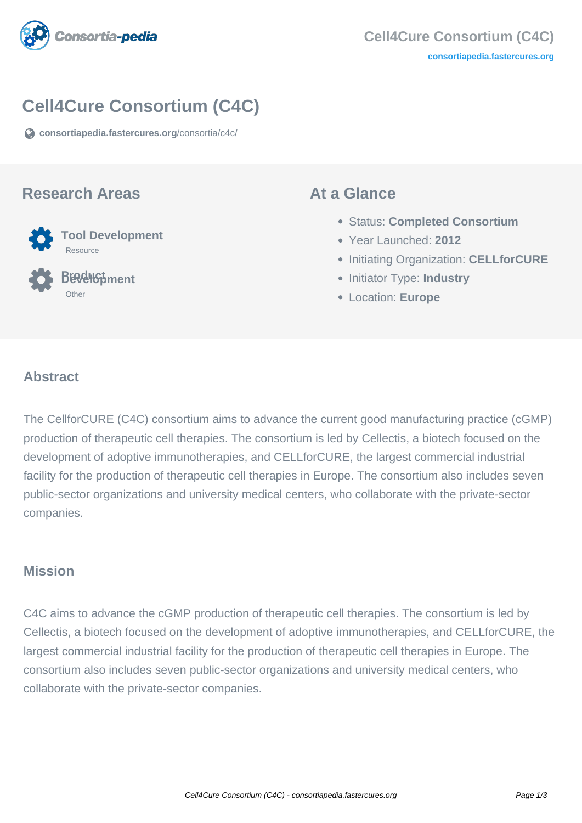

# **Cell4Cure Consortium (C4C)**

**[consortiapedia.fastercures.org](https://consortiapedia.fastercures.org/consortia/c4c/)**[/consortia/c4c/](https://consortiapedia.fastercures.org/consortia/c4c/)

#### **Research Areas**



 **Product Development Other** 

#### **At a Glance**

- Status: **Completed Consortium**
- Year Launched: **2012**
- **Initiating Organization: CELLforCURE**
- **Initiator Type: Industry**
- Location: **Europe**

#### $\overline{a}$ **Abstract**

The CellforCURE (C4C) consortium aims to advance the current good manufacturing practice (cGMP) production of therapeutic cell therapies. The consortium is led by Cellectis, a biotech focused on the development of adoptive immunotherapies, and CELLforCURE, the largest commercial industrial facility for the production of therapeutic cell therapies in Europe. The consortium also includes seven public-sector organizations and university medical centers, who collaborate with the private-sector companies.

#### **Mission**

C4C aims to advance the cGMP production of therapeutic cell therapies. The consortium is led by Cellectis, a biotech focused on the development of adoptive immunotherapies, and CELLforCURE, the largest commercial industrial facility for the production of therapeutic cell therapies in Europe. The consortium also includes seven public-sector organizations and university medical centers, who collaborate with the private-sector companies.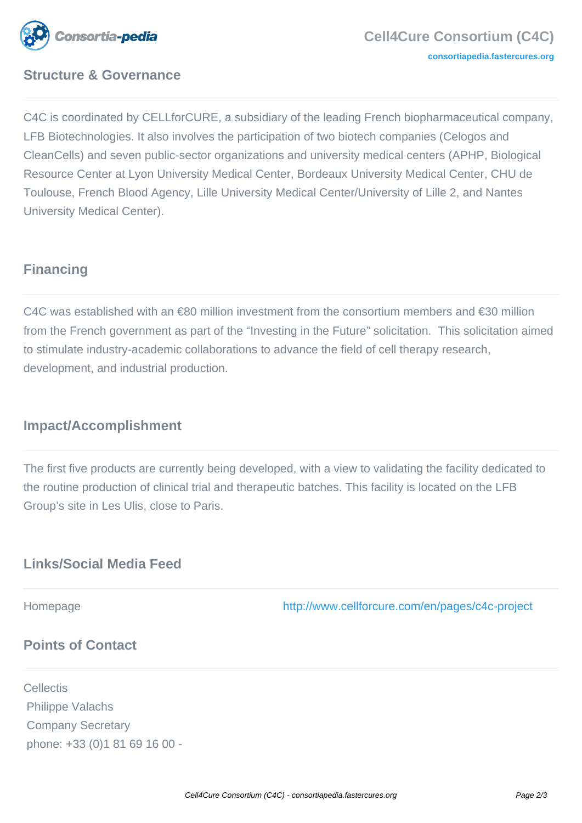

# **Structure & Governance**

C4C is coordinated by CELLforCURE, a subsidiary of the leading French biopharmaceutical company, LFB Biotechnologies. It also involves the participation of two biotech companies (Celogos and CleanCells) and seven public-sector organizations and university medical centers (APHP, Biological Resource Center at Lyon University Medical Center, Bordeaux University Medical Center, CHU de Toulouse, French Blood Agency, Lille University Medical Center/University of Lille 2, and Nantes University Medical Center).

# **Financing**

C4C was established with an €80 million investment from the consortium members and €30 million from the French government as part of the "Investing in the Future" solicitation. This solicitation aimed to stimulate industry-academic collaborations to advance the field of cell therapy research, development, and industrial production.

### **Impact/Accomplishment**

The first five products are currently being developed, with a view to validating the facility dedicated to the routine production of clinical trial and therapeutic batches. This facility is located on the LFB Group's site in Les Ulis, close to Paris.

## **Links/Social Media Feed**

Homepage <http://www.cellforcure.com/en/pages/c4c-project>

# **Points of Contact**

**Cellectis**  Philippe Valachs Company Secretary phone: +33 (0)1 81 69 16 00 -